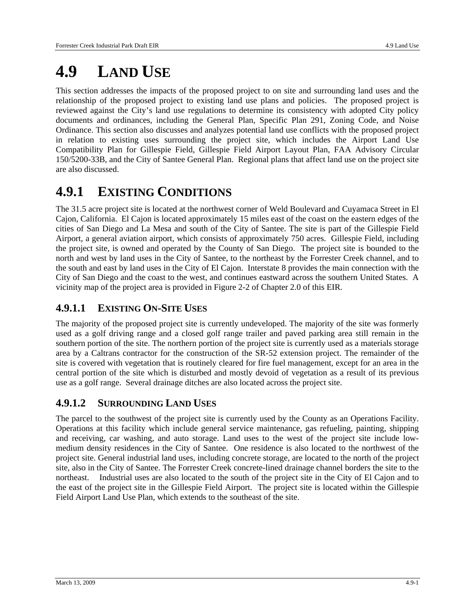# **4.9 LAND USE**

This section addresses the impacts of the proposed project to on site and surrounding land uses and the relationship of the proposed project to existing land use plans and policies. The proposed project is reviewed against the City's land use regulations to determine its consistency with adopted City policy documents and ordinances, including the General Plan, Specific Plan 291, Zoning Code, and Noise Ordinance. This section also discusses and analyzes potential land use conflicts with the proposed project in relation to existing uses surrounding the project site, which includes the Airport Land Use Compatibility Plan for Gillespie Field, Gillespie Field Airport Layout Plan, FAA Advisory Circular 150/5200-33B, and the City of Santee General Plan. Regional plans that affect land use on the project site are also discussed.

# **4.9.1 EXISTING CONDITIONS**

The 31.5 acre project site is located at the northwest corner of Weld Boulevard and Cuyamaca Street in El Cajon, California. El Cajon is located approximately 15 miles east of the coast on the eastern edges of the cities of San Diego and La Mesa and south of the City of Santee. The site is part of the Gillespie Field Airport, a general aviation airport, which consists of approximately 750 acres. Gillespie Field, including the project site, is owned and operated by the County of San Diego. The project site is bounded to the north and west by land uses in the City of Santee, to the northeast by the Forrester Creek channel, and to the south and east by land uses in the City of El Cajon. Interstate 8 provides the main connection with the City of San Diego and the coast to the west, and continues eastward across the southern United States. A vicinity map of the project area is provided in Figure 2-2 of Chapter 2.0 of this EIR.

### **4.9.1.1 EXISTING ON-SITE USES**

The majority of the proposed project site is currently undeveloped. The majority of the site was formerly used as a golf driving range and a closed golf range trailer and paved parking area still remain in the southern portion of the site. The northern portion of the project site is currently used as a materials storage area by a Caltrans contractor for the construction of the SR-52 extension project. The remainder of the site is covered with vegetation that is routinely cleared for fire fuel management, except for an area in the central portion of the site which is disturbed and mostly devoid of vegetation as a result of its previous use as a golf range. Several drainage ditches are also located across the project site.

### **4.9.1.2 SURROUNDING LAND USES**

The parcel to the southwest of the project site is currently used by the County as an Operations Facility. Operations at this facility which include general service maintenance, gas refueling, painting, shipping and receiving, car washing, and auto storage. Land uses to the west of the project site include lowmedium density residences in the City of Santee. One residence is also located to the northwest of the project site. General industrial land uses, including concrete storage, are located to the north of the project site, also in the City of Santee. The Forrester Creek concrete-lined drainage channel borders the site to the northeast. Industrial uses are also located to the south of the project site in the City of El Cajon and to the east of the project site in the Gillespie Field Airport. The project site is located within the Gillespie Field Airport Land Use Plan, which extends to the southeast of the site.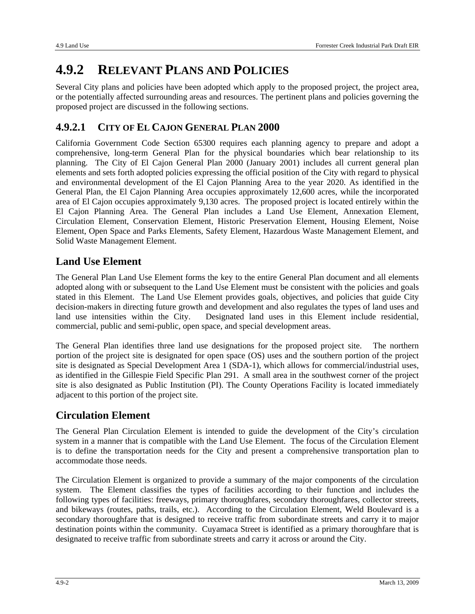# **4.9.2 RELEVANT PLANS AND POLICIES**

Several City plans and policies have been adopted which apply to the proposed project, the project area, or the potentially affected surrounding areas and resources. The pertinent plans and policies governing the proposed project are discussed in the following sections.

### **4.9.2.1 CITY OF EL CAJON GENERAL PLAN 2000**

California Government Code Section 65300 requires each planning agency to prepare and adopt a comprehensive, long-term General Plan for the physical boundaries which bear relationship to its planning. The City of El Cajon General Plan 2000 (January 2001) includes all current general plan elements and sets forth adopted policies expressing the official position of the City with regard to physical and environmental development of the El Cajon Planning Area to the year 2020. As identified in the General Plan, the El Cajon Planning Area occupies approximately 12,600 acres, while the incorporated area of El Cajon occupies approximately 9,130 acres. The proposed project is located entirely within the El Cajon Planning Area. The General Plan includes a Land Use Element, Annexation Element, Circulation Element, Conservation Element, Historic Preservation Element, Housing Element, Noise Element, Open Space and Parks Elements, Safety Element, Hazardous Waste Management Element, and Solid Waste Management Element.

### **Land Use Element**

The General Plan Land Use Element forms the key to the entire General Plan document and all elements adopted along with or subsequent to the Land Use Element must be consistent with the policies and goals stated in this Element. The Land Use Element provides goals, objectives, and policies that guide City decision-makers in directing future growth and development and also regulates the types of land uses and land use intensities within the City. Designated land uses in this Element include residential, commercial, public and semi-public, open space, and special development areas.

The General Plan identifies three land use designations for the proposed project site. The northern portion of the project site is designated for open space (OS) uses and the southern portion of the project site is designated as Special Development Area 1 (SDA-1), which allows for commercial/industrial uses, as identified in the Gillespie Field Specific Plan 291. A small area in the southwest corner of the project site is also designated as Public Institution (PI). The County Operations Facility is located immediately adjacent to this portion of the project site.

### **Circulation Element**

The General Plan Circulation Element is intended to guide the development of the City's circulation system in a manner that is compatible with the Land Use Element. The focus of the Circulation Element is to define the transportation needs for the City and present a comprehensive transportation plan to accommodate those needs.

The Circulation Element is organized to provide a summary of the major components of the circulation system. The Element classifies the types of facilities according to their function and includes the following types of facilities: freeways, primary thoroughfares, secondary thoroughfares, collector streets, and bikeways (routes, paths, trails, etc.). According to the Circulation Element, Weld Boulevard is a secondary thoroughfare that is designed to receive traffic from subordinate streets and carry it to major destination points within the community. Cuyamaca Street is identified as a primary thoroughfare that is designated to receive traffic from subordinate streets and carry it across or around the City.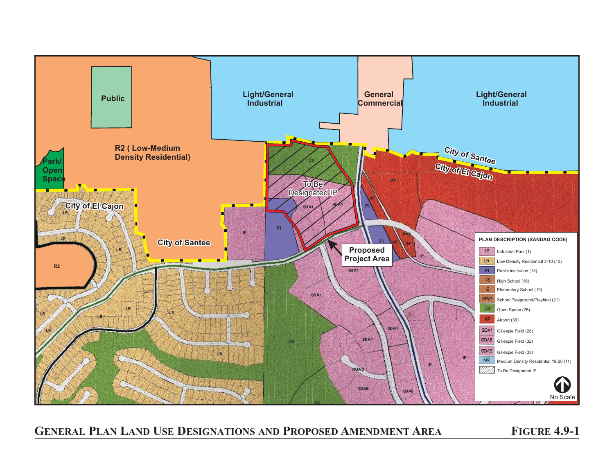

**GENERAL PLAN LAND USE DESIGNATIONS AND PROPOSED AMENDMENT AREA FIGURE 4.9-1**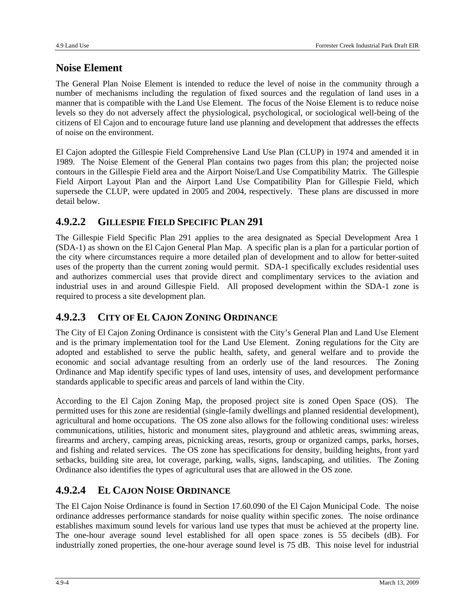### **Noise Element**

The General Plan Noise Element is intended to reduce the level of noise in the community through a number of mechanisms including the regulation of fixed sources and the regulation of land uses in a manner that is compatible with the Land Use Element. The focus of the Noise Element is to reduce noise levels so they do not adversely affect the physiological, psychological, or sociological well-being of the citizens of El Cajon and to encourage future land use planning and development that addresses the effects of noise on the environment.

El Cajon adopted the Gillespie Field Comprehensive Land Use Plan (CLUP) in 1974 and amended it in 1989. The Noise Element of the General Plan contains two pages from this plan; the projected noise contours in the Gillespie Field area and the Airport Noise/Land Use Compatibility Matrix. The Gillespie Field Airport Layout Plan and the Airport Land Use Compatibility Plan for Gillespie Field, which supersede the CLUP, were updated in 2005 and 2004, respectively. These plans are discussed in more detail below.

### **4.9.2.2 GILLESPIE FIELD SPECIFIC PLAN 291**

The Gillespie Field Specific Plan 291 applies to the area designated as Special Development Area 1 (SDA-1) as shown on the El Cajon General Plan Map. A specific plan is a plan for a particular portion of the city where circumstances require a more detailed plan of development and to allow for better-suited uses of the property than the current zoning would permit. SDA-1 specifically excludes residential uses and authorizes commercial uses that provide direct and complimentary services to the aviation and industrial uses in and around Gillespie Field. All proposed development within the SDA-1 zone is required to process a site development plan.

### **4.9.2.3 CITY OF EL CAJON ZONING ORDINANCE**

The City of El Cajon Zoning Ordinance is consistent with the City's General Plan and Land Use Element and is the primary implementation tool for the Land Use Element. Zoning regulations for the City are adopted and established to serve the public health, safety, and general welfare and to provide the economic and social advantage resulting from an orderly use of the land resources. The Zoning Ordinance and Map identify specific types of land uses, intensity of uses, and development performance standards applicable to specific areas and parcels of land within the City.

According to the El Cajon Zoning Map, the proposed project site is zoned Open Space (OS). The permitted uses for this zone are residential (single-family dwellings and planned residential development), agricultural and home occupations. The OS zone also allows for the following conditional uses: wireless communications, utilities, historic and monument sites, playground and athletic areas, swimming areas, firearms and archery, camping areas, picnicking areas, resorts, group or organized camps, parks, horses, and fishing and related services. The OS zone has specifications for density, building heights, front yard setbacks, building site area, lot coverage, parking, walls, signs, landscaping, and utilities. The Zoning Ordinance also identifies the types of agricultural uses that are allowed in the OS zone.

### **4.9.2.4 EL CAJON NOISE ORDINANCE**

The El Cajon Noise Ordinance is found in Section 17.60.090 of the El Cajon Municipal Code. The noise ordinance addresses performance standards for noise quality within specific zones. The noise ordinance establishes maximum sound levels for various land use types that must be achieved at the property line. The one-hour average sound level established for all open space zones is 55 decibels (dB). For industrially zoned properties, the one-hour average sound level is 75 dB. This noise level for industrial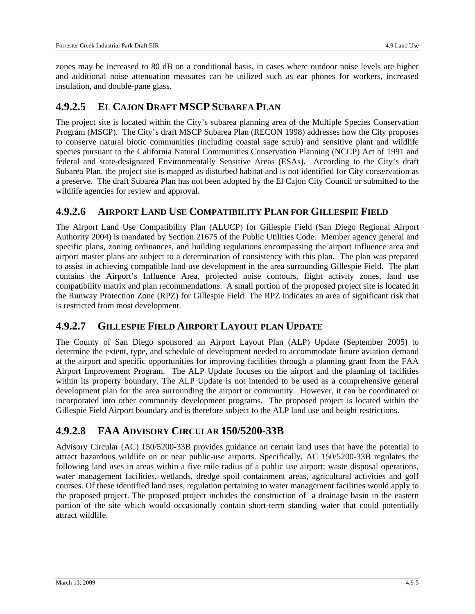zones may be increased to 80 dB on a conditional basis, in cases where outdoor noise levels are higher and additional noise attenuation measures can be utilized such as ear phones for workers, increased insulation, and double-pane glass.

### **4.9.2.5 EL CAJON DRAFT MSCP SUBAREA PLAN**

The project site is located within the City's subarea planning area of the Multiple Species Conservation Program (MSCP). The City's draft MSCP Subarea Plan (RECON 1998) addresses how the City proposes to conserve natural biotic communities (including coastal sage scrub) and sensitive plant and wildlife species pursuant to the California Natural Communities Conservation Planning (NCCP) Act of 1991 and federal and state-designated Environmentally Sensitive Areas (ESAs). According to the City's draft Subarea Plan, the project site is mapped as disturbed habitat and is not identified for City conservation as a preserve. The draft Subarea Plan has not been adopted by the El Cajon City Council or submitted to the wildlife agencies for review and approval.

### **4.9.2.6 AIRPORT LAND USE COMPATIBILITY PLAN FOR GILLESPIE FIELD**

The Airport Land Use Compatibility Plan (ALUCP) for Gillespie Field (San Diego Regional Airport Authority 2004) is mandated by Section 21675 of the Public Utilities Code. Member agency general and specific plans, zoning ordinances, and building regulations encompassing the airport influence area and airport master plans are subject to a determination of consistency with this plan. The plan was prepared to assist in achieving compatible land use development in the area surrounding Gillespie Field. The plan contains the Airport's Influence Area, projected noise contours, flight activity zones, land use compatibility matrix and plan recommendations. A small portion of the proposed project site is located in the Runway Protection Zone (RPZ) for Gillespie Field. The RPZ indicates an area of significant risk that is restricted from most development.

### **4.9.2.7 GILLESPIE FIELD AIRPORT LAYOUT PLAN UPDATE**

The County of San Diego sponsored an Airport Layout Plan (ALP) Update (September 2005) to determine the extent, type, and schedule of development needed to accommodate future aviation demand at the airport and specific opportunities for improving facilities through a planning grant from the FAA Airport Improvement Program. The ALP Update focuses on the airport and the planning of facilities within its property boundary. The ALP Update is not intended to be used as a comprehensive general development plan for the area surrounding the airport or community. However, it can be coordinated or incorporated into other community development programs. The proposed project is located within the Gillespie Field Airport boundary and is therefore subject to the ALP land use and height restrictions.

### **4.9.2.8 FAA ADVISORY CIRCULAR 150/5200-33B**

Advisory Circular (AC) 150/5200-33B provides guidance on certain land uses that have the potential to attract hazardous wildlife on or near public-use airports. Specifically, AC 150/5200-33B regulates the following land uses in areas within a five mile radius of a public use airport: waste disposal operations, water management facilities, wetlands, dredge spoil containment areas, agricultural activities and golf courses. Of these identified land uses, regulation pertaining to water management facilities would apply to the proposed project. The proposed project includes the construction of a drainage basin in the eastern portion of the site which would occasionally contain short-term standing water that could potentially attract wildlife.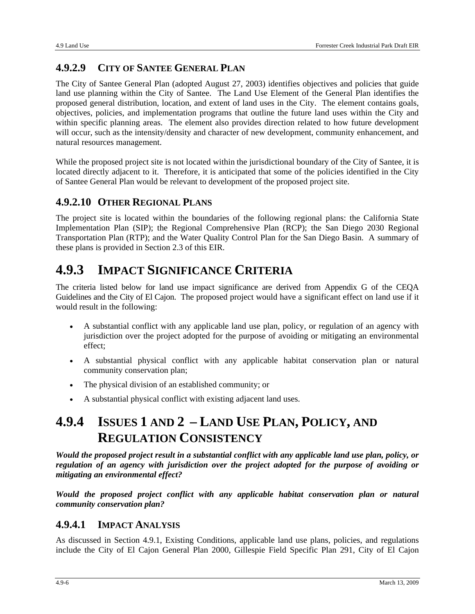### **4.9.2.9 CITY OF SANTEE GENERAL PLAN**

The City of Santee General Plan (adopted August 27, 2003) identifies objectives and policies that guide land use planning within the City of Santee. The Land Use Element of the General Plan identifies the proposed general distribution, location, and extent of land uses in the City. The element contains goals, objectives, policies, and implementation programs that outline the future land uses within the City and within specific planning areas. The element also provides direction related to how future development will occur, such as the intensity/density and character of new development, community enhancement, and natural resources management.

While the proposed project site is not located within the jurisdictional boundary of the City of Santee, it is located directly adjacent to it. Therefore, it is anticipated that some of the policies identified in the City of Santee General Plan would be relevant to development of the proposed project site.

### **4.9.2.10 OTHER REGIONAL PLANS**

The project site is located within the boundaries of the following regional plans: the California State Implementation Plan (SIP); the Regional Comprehensive Plan (RCP); the San Diego 2030 Regional Transportation Plan (RTP); and the Water Quality Control Plan for the San Diego Basin. A summary of these plans is provided in Section 2.3 of this EIR.

# **4.9.3 IMPACT SIGNIFICANCE CRITERIA**

The criteria listed below for land use impact significance are derived from Appendix G of the CEQA Guidelines and the City of El Cajon. The proposed project would have a significant effect on land use if it would result in the following:

- A substantial conflict with any applicable land use plan, policy, or regulation of an agency with jurisdiction over the project adopted for the purpose of avoiding or mitigating an environmental effect;
- A substantial physical conflict with any applicable habitat conservation plan or natural community conservation plan;
- The physical division of an established community; or
- A substantial physical conflict with existing adjacent land uses.

# **4.9.4 ISSUES 1 AND 2 – LAND USE PLAN, POLICY, AND REGULATION CONSISTENCY**

*Would the proposed project result in a substantial conflict with any applicable land use plan, policy, or regulation of an agency with jurisdiction over the project adopted for the purpose of avoiding or mitigating an environmental effect?* 

*Would the proposed project conflict with any applicable habitat conservation plan or natural community conservation plan?* 

### **4.9.4.1 IMPACT ANALYSIS**

As discussed in Section 4.9.1, Existing Conditions, applicable land use plans, policies, and regulations include the City of El Cajon General Plan 2000, Gillespie Field Specific Plan 291, City of El Cajon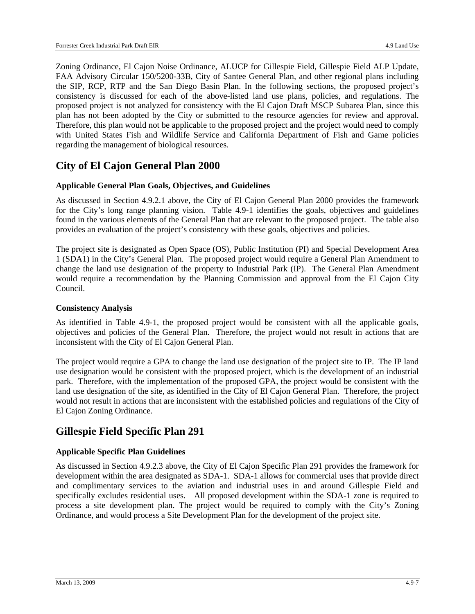Zoning Ordinance, El Cajon Noise Ordinance, ALUCP for Gillespie Field, Gillespie Field ALP Update, FAA Advisory Circular 150/5200-33B, City of Santee General Plan, and other regional plans including the SIP, RCP, RTP and the San Diego Basin Plan. In the following sections, the proposed project's consistency is discussed for each of the above-listed land use plans, policies, and regulations. The proposed project is not analyzed for consistency with the El Cajon Draft MSCP Subarea Plan, since this plan has not been adopted by the City or submitted to the resource agencies for review and approval. Therefore, this plan would not be applicable to the proposed project and the project would need to comply with United States Fish and Wildlife Service and California Department of Fish and Game policies regarding the management of biological resources.

### **City of El Cajon General Plan 2000**

#### **Applicable General Plan Goals, Objectives, and Guidelines**

As discussed in Section 4.9.2.1 above, the City of El Cajon General Plan 2000 provides the framework for the City's long range planning vision. Table 4.9-1 identifies the goals, objectives and guidelines found in the various elements of the General Plan that are relevant to the proposed project. The table also provides an evaluation of the project's consistency with these goals, objectives and policies.

The project site is designated as Open Space (OS), Public Institution (PI) and Special Development Area 1 (SDA1) in the City's General Plan. The proposed project would require a General Plan Amendment to change the land use designation of the property to Industrial Park (IP). The General Plan Amendment would require a recommendation by the Planning Commission and approval from the El Cajon City Council.

#### **Consistency Analysis**

As identified in Table 4.9-1, the proposed project would be consistent with all the applicable goals, objectives and policies of the General Plan. Therefore, the project would not result in actions that are inconsistent with the City of El Cajon General Plan.

The project would require a GPA to change the land use designation of the project site to IP. The IP land use designation would be consistent with the proposed project, which is the development of an industrial park. Therefore, with the implementation of the proposed GPA, the project would be consistent with the land use designation of the site, as identified in the City of El Cajon General Plan. Therefore, the project would not result in actions that are inconsistent with the established policies and regulations of the City of El Cajon Zoning Ordinance.

### **Gillespie Field Specific Plan 291**

#### **Applicable Specific Plan Guidelines**

As discussed in Section 4.9.2.3 above, the City of El Cajon Specific Plan 291 provides the framework for development within the area designated as SDA-1. SDA-1 allows for commercial uses that provide direct and complimentary services to the aviation and industrial uses in and around Gillespie Field and specifically excludes residential uses. All proposed development within the SDA-1 zone is required to process a site development plan. The project would be required to comply with the City's Zoning Ordinance, and would process a Site Development Plan for the development of the project site.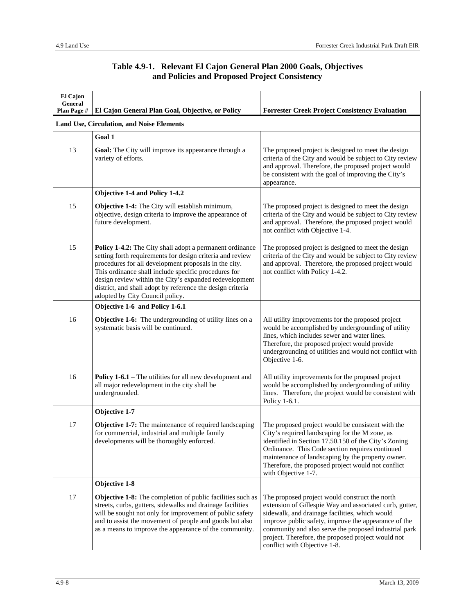| El Cajon<br>General<br>Plan Page # | El Cajon General Plan Goal, Objective, or Policy                                                                                                                                                                                                                                                                                                                                                         | <b>Forrester Creek Project Consistency Evaluation</b>                                                                                                                                                                                                                                                                                                              |
|------------------------------------|----------------------------------------------------------------------------------------------------------------------------------------------------------------------------------------------------------------------------------------------------------------------------------------------------------------------------------------------------------------------------------------------------------|--------------------------------------------------------------------------------------------------------------------------------------------------------------------------------------------------------------------------------------------------------------------------------------------------------------------------------------------------------------------|
|                                    | <b>Land Use, Circulation, and Noise Elements</b>                                                                                                                                                                                                                                                                                                                                                         |                                                                                                                                                                                                                                                                                                                                                                    |
|                                    | Goal 1                                                                                                                                                                                                                                                                                                                                                                                                   |                                                                                                                                                                                                                                                                                                                                                                    |
| 13                                 | <b>Goal:</b> The City will improve its appearance through a<br>variety of efforts.                                                                                                                                                                                                                                                                                                                       | The proposed project is designed to meet the design<br>criteria of the City and would be subject to City review<br>and approval. Therefore, the proposed project would<br>be consistent with the goal of improving the City's<br>appearance.                                                                                                                       |
|                                    | <b>Objective 1-4 and Policy 1-4.2</b>                                                                                                                                                                                                                                                                                                                                                                    |                                                                                                                                                                                                                                                                                                                                                                    |
| 15                                 | <b>Objective 1-4:</b> The City will establish minimum,<br>objective, design criteria to improve the appearance of<br>future development.                                                                                                                                                                                                                                                                 | The proposed project is designed to meet the design<br>criteria of the City and would be subject to City review<br>and approval. Therefore, the proposed project would<br>not conflict with Objective 1-4.                                                                                                                                                         |
| 15                                 | <b>Policy 1-4.2:</b> The City shall adopt a permanent ordinance<br>setting forth requirements for design criteria and review<br>procedures for all development proposals in the city.<br>This ordinance shall include specific procedures for<br>design review within the City's expanded redevelopment<br>district, and shall adopt by reference the design criteria<br>adopted by City Council policy. | The proposed project is designed to meet the design<br>criteria of the City and would be subject to City review<br>and approval. Therefore, the proposed project would<br>not conflict with Policy 1-4.2.                                                                                                                                                          |
|                                    | Objective 1-6 and Policy 1-6.1                                                                                                                                                                                                                                                                                                                                                                           |                                                                                                                                                                                                                                                                                                                                                                    |
| 16                                 | <b>Objective 1-6:</b> The undergrounding of utility lines on a<br>systematic basis will be continued.                                                                                                                                                                                                                                                                                                    | All utility improvements for the proposed project<br>would be accomplished by undergrounding of utility<br>lines, which includes sewer and water lines.<br>Therefore, the proposed project would provide<br>undergrounding of utilities and would not conflict with<br>Objective 1-6.                                                                              |
| 16                                 | <b>Policy 1-6.1</b> – The utilities for all new development and<br>all major redevelopment in the city shall be<br>undergrounded.                                                                                                                                                                                                                                                                        | All utility improvements for the proposed project<br>would be accomplished by undergrounding of utility<br>lines. Therefore, the project would be consistent with<br>Policy 1-6.1.                                                                                                                                                                                 |
|                                    | Objective 1-7                                                                                                                                                                                                                                                                                                                                                                                            |                                                                                                                                                                                                                                                                                                                                                                    |
| 17                                 | Objective 1-7: The maintenance of required landscaping<br>for commercial, industrial and multiple family<br>developments will be thoroughly enforced.                                                                                                                                                                                                                                                    | The proposed project would be consistent with the<br>City's required landscaping for the M zone, as<br>identified in Section 17.50.150 of the City's Zoning<br>Ordinance. This Code section requires continued<br>maintenance of landscaping by the property owner.<br>Therefore, the proposed project would not conflict<br>with Objective 1-7.                   |
|                                    | Objective 1-8                                                                                                                                                                                                                                                                                                                                                                                            |                                                                                                                                                                                                                                                                                                                                                                    |
| 17                                 | Objective 1-8: The completion of public facilities such as<br>streets, curbs, gutters, sidewalks and drainage facilities<br>will be sought not only for improvement of public safety<br>and to assist the movement of people and goods but also<br>as a means to improve the appearance of the community.                                                                                                | The proposed project would construct the north<br>extension of Gillespie Way and associated curb, gutter,<br>sidewalk, and drainage facilities, which would<br>improve public safety, improve the appearance of the<br>community and also serve the proposed industrial park<br>project. Therefore, the proposed project would not<br>conflict with Objective 1-8. |

#### **Table 4.9-1. Relevant El Cajon General Plan 2000 Goals, Objectives and Policies and Proposed Project Consistency**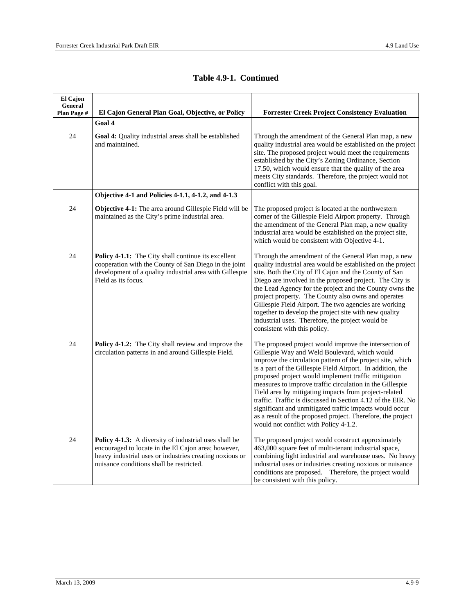| El Cajon<br>General<br>Plan Page # | El Cajon General Plan Goal, Objective, or Policy                                                                                                                                                                    | <b>Forrester Creek Project Consistency Evaluation</b>                                                                                                                                                                                                                                                                                                                                                                                                                                                                                                                                                                                              |
|------------------------------------|---------------------------------------------------------------------------------------------------------------------------------------------------------------------------------------------------------------------|----------------------------------------------------------------------------------------------------------------------------------------------------------------------------------------------------------------------------------------------------------------------------------------------------------------------------------------------------------------------------------------------------------------------------------------------------------------------------------------------------------------------------------------------------------------------------------------------------------------------------------------------------|
|                                    | Goal 4                                                                                                                                                                                                              |                                                                                                                                                                                                                                                                                                                                                                                                                                                                                                                                                                                                                                                    |
| 24                                 | <b>Goal 4:</b> Quality industrial areas shall be established<br>and maintained.                                                                                                                                     | Through the amendment of the General Plan map, a new<br>quality industrial area would be established on the project<br>site. The proposed project would meet the requirements<br>established by the City's Zoning Ordinance, Section<br>17.50, which would ensure that the quality of the area<br>meets City standards. Therefore, the project would not<br>conflict with this goal.                                                                                                                                                                                                                                                               |
|                                    | Objective 4-1 and Policies 4-1.1, 4-1.2, and 4-1.3                                                                                                                                                                  |                                                                                                                                                                                                                                                                                                                                                                                                                                                                                                                                                                                                                                                    |
| 24                                 | Objective 4-1: The area around Gillespie Field will be<br>maintained as the City's prime industrial area.                                                                                                           | The proposed project is located at the northwestern<br>corner of the Gillespie Field Airport property. Through<br>the amendment of the General Plan map, a new quality<br>industrial area would be established on the project site,<br>which would be consistent with Objective 4-1.                                                                                                                                                                                                                                                                                                                                                               |
| 24                                 | Policy 4-1.1: The City shall continue its excellent<br>cooperation with the County of San Diego in the joint<br>development of a quality industrial area with Gillespie<br>Field as its focus.                      | Through the amendment of the General Plan map, a new<br>quality industrial area would be established on the project<br>site. Both the City of El Cajon and the County of San<br>Diego are involved in the proposed project. The City is<br>the Lead Agency for the project and the County owns the<br>project property. The County also owns and operates<br>Gillespie Field Airport. The two agencies are working<br>together to develop the project site with new quality<br>industrial uses. Therefore, the project would be<br>consistent with this policy.                                                                                    |
| 24                                 | Policy 4-1.2: The City shall review and improve the<br>circulation patterns in and around Gillespie Field.                                                                                                          | The proposed project would improve the intersection of<br>Gillespie Way and Weld Boulevard, which would<br>improve the circulation pattern of the project site, which<br>is a part of the Gillespie Field Airport. In addition, the<br>proposed project would implement traffic mitigation<br>measures to improve traffic circulation in the Gillespie<br>Field area by mitigating impacts from project-related<br>traffic. Traffic is discussed in Section 4.12 of the EIR. No<br>significant and unmitigated traffic impacts would occur<br>as a result of the proposed project. Therefore, the project<br>would not conflict with Policy 4-1.2. |
| 24                                 | Policy 4-1.3: A diversity of industrial uses shall be<br>encouraged to locate in the El Cajon area; however,<br>heavy industrial uses or industries creating noxious or<br>nuisance conditions shall be restricted. | The proposed project would construct approximately<br>463,000 square feet of multi-tenant industrial space,<br>combining light industrial and warehouse uses. No heavy<br>industrial uses or industries creating noxious or nuisance<br>conditions are proposed. Therefore, the project would<br>be consistent with this policy.                                                                                                                                                                                                                                                                                                                   |

#### **Table 4.9-1. Continued**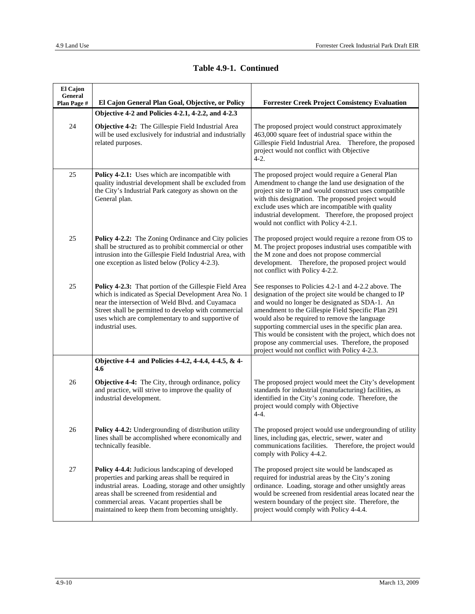| El Cajon<br>General<br>Plan Page # | El Cajon General Plan Goal, Objective, or Policy                                                                                                                                                                                                                                                                    | <b>Forrester Creek Project Consistency Evaluation</b>                                                                                                                                                                                                                                                                                                                                                                                                                                                  |
|------------------------------------|---------------------------------------------------------------------------------------------------------------------------------------------------------------------------------------------------------------------------------------------------------------------------------------------------------------------|--------------------------------------------------------------------------------------------------------------------------------------------------------------------------------------------------------------------------------------------------------------------------------------------------------------------------------------------------------------------------------------------------------------------------------------------------------------------------------------------------------|
|                                    | Objective 4-2 and Policies 4-2.1, 4-2.2, and 4-2.3                                                                                                                                                                                                                                                                  |                                                                                                                                                                                                                                                                                                                                                                                                                                                                                                        |
| $24\,$                             | Objective 4-2: The Gillespie Field Industrial Area<br>will be used exclusively for industrial and industrially<br>related purposes.                                                                                                                                                                                 | The proposed project would construct approximately<br>463,000 square feet of industrial space within the<br>Gillespie Field Industrial Area. Therefore, the proposed<br>project would not conflict with Objective<br>$4-2.$                                                                                                                                                                                                                                                                            |
| 25                                 | Policy 4-2.1: Uses which are incompatible with<br>quality industrial development shall be excluded from<br>the City's Industrial Park category as shown on the<br>General plan.                                                                                                                                     | The proposed project would require a General Plan<br>Amendment to change the land use designation of the<br>project site to IP and would construct uses compatible<br>with this designation. The proposed project would<br>exclude uses which are incompatible with quality<br>industrial development. Therefore, the proposed project<br>would not conflict with Policy 4-2.1.                                                                                                                        |
| 25                                 | <b>Policy 4-2.2:</b> The Zoning Ordinance and City policies<br>shall be structured as to prohibit commercial or other<br>intrusion into the Gillespie Field Industrial Area, with<br>one exception as listed below (Policy 4-2.3).                                                                                  | The proposed project would require a rezone from OS to<br>M. The project proposes industrial uses compatible with<br>the M zone and does not propose commercial<br>development. Therefore, the proposed project would<br>not conflict with Policy 4-2.2.                                                                                                                                                                                                                                               |
| 25                                 | Policy 4-2.3: That portion of the Gillespie Field Area<br>which is indicated as Special Development Area No. 1<br>near the intersection of Weld Blvd. and Cuyamaca<br>Street shall be permitted to develop with commercial<br>uses which are complementary to and supportive of<br>industrial uses.                 | See responses to Policies 4.2-1 and 4-2.2 above. The<br>designation of the project site would be changed to IP<br>and would no longer be designated as SDA-1. An<br>amendment to the Gillespie Field Specific Plan 291<br>would also be required to remove the language<br>supporting commercial uses in the specific plan area.<br>This would be consistent with the project, which does not<br>propose any commercial uses. Therefore, the proposed<br>project would not conflict with Policy 4-2.3. |
|                                    | Objective 4-4 and Policies 4-4.2, 4-4.4, 4-4.5, & 4-<br>4.6                                                                                                                                                                                                                                                         |                                                                                                                                                                                                                                                                                                                                                                                                                                                                                                        |
| 26                                 | Objective 4-4: The City, through ordinance, policy<br>and practice, will strive to improve the quality of<br>industrial development.                                                                                                                                                                                | The proposed project would meet the City's development<br>standards for industrial (manufacturing) facilities, as<br>identified in the City's zoning code. Therefore, the<br>project would comply with Objective<br>$4-4.$                                                                                                                                                                                                                                                                             |
| 26                                 | Policy 4-4.2: Undergrounding of distribution utility<br>lines shall be accomplished where economically and<br>technically feasible.                                                                                                                                                                                 | The proposed project would use undergrounding of utility<br>lines, including gas, electric, sewer, water and<br>communications facilities.<br>Therefore, the project would<br>comply with Policy 4-4.2.                                                                                                                                                                                                                                                                                                |
| $27\,$                             | Policy 4-4.4: Judicious landscaping of developed<br>properties and parking areas shall be required in<br>industrial areas. Loading, storage and other unsightly<br>areas shall be screened from residential and<br>commercial areas. Vacant properties shall be<br>maintained to keep them from becoming unsightly. | The proposed project site would be landscaped as<br>required for industrial areas by the City's zoning<br>ordinance. Loading, storage and other unsightly areas<br>would be screened from residential areas located near the<br>western boundary of the project site. Therefore, the<br>project would comply with Policy 4-4.4.                                                                                                                                                                        |

#### **Table 4.9-1. Continued**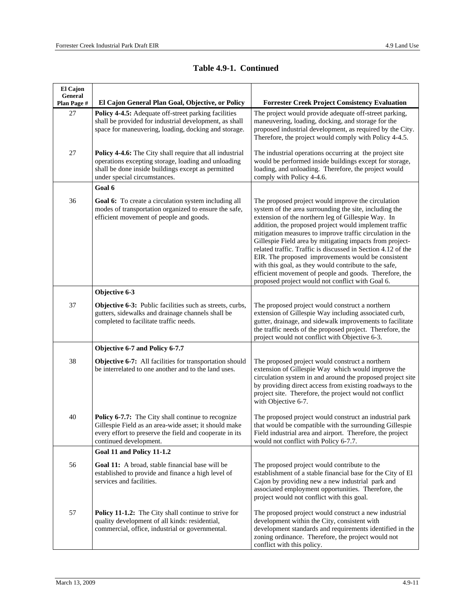| El Cajon<br>General |                                                                                                                                                                                                         |                                                                                                                                                                                                                                                                                                                                                                                                                                                                                                                                                                                                                                                    |
|---------------------|---------------------------------------------------------------------------------------------------------------------------------------------------------------------------------------------------------|----------------------------------------------------------------------------------------------------------------------------------------------------------------------------------------------------------------------------------------------------------------------------------------------------------------------------------------------------------------------------------------------------------------------------------------------------------------------------------------------------------------------------------------------------------------------------------------------------------------------------------------------------|
| Plan Page #         | El Cajon General Plan Goal, Objective, or Policy                                                                                                                                                        | <b>Forrester Creek Project Consistency Evaluation</b>                                                                                                                                                                                                                                                                                                                                                                                                                                                                                                                                                                                              |
| 27                  | Policy 4-4.5: Adequate off-street parking facilities<br>shall be provided for industrial development, as shall<br>space for maneuvering, loading, docking and storage.                                  | The project would provide adequate off-street parking,<br>maneuvering, loading, docking, and storage for the<br>proposed industrial development, as required by the City.<br>Therefore, the project would comply with Policy 4-4.5.                                                                                                                                                                                                                                                                                                                                                                                                                |
| 27                  | Policy 4-4.6: The City shall require that all industrial<br>operations excepting storage, loading and unloading<br>shall be done inside buildings except as permitted<br>under special circumstances.   | The industrial operations occurring at the project site<br>would be performed inside buildings except for storage,<br>loading, and unloading. Therefore, the project would<br>comply with Policy 4-4.6.                                                                                                                                                                                                                                                                                                                                                                                                                                            |
|                     | Goal 6                                                                                                                                                                                                  |                                                                                                                                                                                                                                                                                                                                                                                                                                                                                                                                                                                                                                                    |
| 36                  | <b>Goal 6:</b> To create a circulation system including all<br>modes of transportation organized to ensure the safe,<br>efficient movement of people and goods.                                         | The proposed project would improve the circulation<br>system of the area surrounding the site, including the<br>extension of the northern leg of Gillespie Way. In<br>addition, the proposed project would implement traffic<br>mitigation measures to improve traffic circulation in the<br>Gillespie Field area by mitigating impacts from project-<br>related traffic. Traffic is discussed in Section 4.12 of the<br>EIR. The proposed improvements would be consistent<br>with this goal, as they would contribute to the safe,<br>efficient movement of people and goods. Therefore, the<br>proposed project would not conflict with Goal 6. |
|                     | Objective 6-3                                                                                                                                                                                           |                                                                                                                                                                                                                                                                                                                                                                                                                                                                                                                                                                                                                                                    |
| 37                  | <b>Objective 6-3:</b> Public facilities such as streets, curbs,<br>gutters, sidewalks and drainage channels shall be<br>completed to facilitate traffic needs.                                          | The proposed project would construct a northern<br>extension of Gillespie Way including associated curb,<br>gutter, drainage, and sidewalk improvements to facilitate<br>the traffic needs of the proposed project. Therefore, the<br>project would not conflict with Objective 6-3.                                                                                                                                                                                                                                                                                                                                                               |
|                     | Objective 6-7 and Policy 6-7.7                                                                                                                                                                          |                                                                                                                                                                                                                                                                                                                                                                                                                                                                                                                                                                                                                                                    |
| 38                  | Objective 6-7: All facilities for transportation should<br>be interrelated to one another and to the land uses.                                                                                         | The proposed project would construct a northern<br>extension of Gillespie Way which would improve the<br>circulation system in and around the proposed project site<br>by providing direct access from existing roadways to the<br>project site. Therefore, the project would not conflict<br>with Objective 6-7.                                                                                                                                                                                                                                                                                                                                  |
| 40                  | <b>Policy 6-7.7:</b> The City shall continue to recognize<br>Gillespie Field as an area-wide asset; it should make<br>every effort to preserve the field and cooperate in its<br>continued development. | The proposed project would construct an industrial park<br>that would be compatible with the surrounding Gillespie<br>Field industrial area and airport. Therefore, the project<br>would not conflict with Policy 6-7.7.                                                                                                                                                                                                                                                                                                                                                                                                                           |
|                     | Goal 11 and Policy 11-1.2                                                                                                                                                                               |                                                                                                                                                                                                                                                                                                                                                                                                                                                                                                                                                                                                                                                    |
| 56                  | Goal 11: A broad, stable financial base will be<br>established to provide and finance a high level of<br>services and facilities.                                                                       | The proposed project would contribute to the<br>establishment of a stable financial base for the City of El<br>Cajon by providing new a new industrial park and<br>associated employment opportunities. Therefore, the<br>project would not conflict with this goal.                                                                                                                                                                                                                                                                                                                                                                               |
| 57                  | Policy 11-1.2: The City shall continue to strive for<br>quality development of all kinds: residential,<br>commercial, office, industrial or governmental.                                               | The proposed project would construct a new industrial<br>development within the City, consistent with<br>development standards and requirements identified in the<br>zoning ordinance. Therefore, the project would not<br>conflict with this policy.                                                                                                                                                                                                                                                                                                                                                                                              |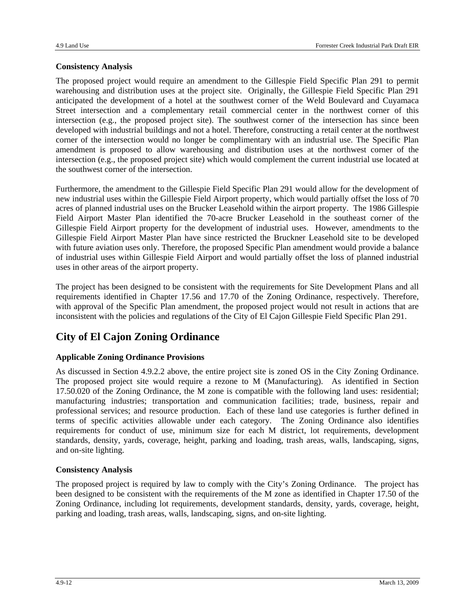#### **Consistency Analysis**

The proposed project would require an amendment to the Gillespie Field Specific Plan 291 to permit warehousing and distribution uses at the project site. Originally, the Gillespie Field Specific Plan 291 anticipated the development of a hotel at the southwest corner of the Weld Boulevard and Cuyamaca Street intersection and a complementary retail commercial center in the northwest corner of this intersection (e.g., the proposed project site). The southwest corner of the intersection has since been developed with industrial buildings and not a hotel. Therefore, constructing a retail center at the northwest corner of the intersection would no longer be complimentary with an industrial use. The Specific Plan amendment is proposed to allow warehousing and distribution uses at the northwest corner of the intersection (e.g., the proposed project site) which would complement the current industrial use located at the southwest corner of the intersection.

Furthermore, the amendment to the Gillespie Field Specific Plan 291 would allow for the development of new industrial uses within the Gillespie Field Airport property, which would partially offset the loss of 70 acres of planned industrial uses on the Brucker Leasehold within the airport property. The 1986 Gillespie Field Airport Master Plan identified the 70-acre Brucker Leasehold in the southeast corner of the Gillespie Field Airport property for the development of industrial uses. However, amendments to the Gillespie Field Airport Master Plan have since restricted the Bruckner Leasehold site to be developed with future aviation uses only. Therefore, the proposed Specific Plan amendment would provide a balance of industrial uses within Gillespie Field Airport and would partially offset the loss of planned industrial uses in other areas of the airport property.

The project has been designed to be consistent with the requirements for Site Development Plans and all requirements identified in Chapter 17.56 and 17.70 of the Zoning Ordinance, respectively. Therefore, with approval of the Specific Plan amendment, the proposed project would not result in actions that are inconsistent with the policies and regulations of the City of El Cajon Gillespie Field Specific Plan 291.

### **City of El Cajon Zoning Ordinance**

#### **Applicable Zoning Ordinance Provisions**

As discussed in Section 4.9.2.2 above, the entire project site is zoned OS in the City Zoning Ordinance. The proposed project site would require a rezone to M (Manufacturing). As identified in Section 17.50.020 of the Zoning Ordinance, the M zone is compatible with the following land uses: residential; manufacturing industries; transportation and communication facilities; trade, business, repair and professional services; and resource production. Each of these land use categories is further defined in terms of specific activities allowable under each category. The Zoning Ordinance also identifies requirements for conduct of use, minimum size for each M district, lot requirements, development standards, density, yards, coverage, height, parking and loading, trash areas, walls, landscaping, signs, and on-site lighting.

#### **Consistency Analysis**

The proposed project is required by law to comply with the City's Zoning Ordinance. The project has been designed to be consistent with the requirements of the M zone as identified in Chapter 17.50 of the Zoning Ordinance, including lot requirements, development standards, density, yards, coverage, height, parking and loading, trash areas, walls, landscaping, signs, and on-site lighting.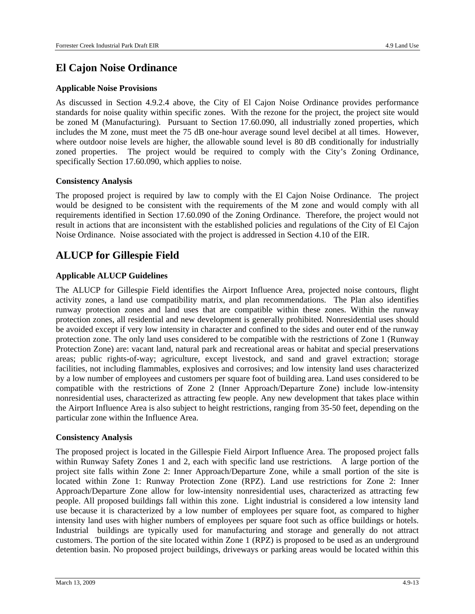### **El Cajon Noise Ordinance**

#### **Applicable Noise Provisions**

As discussed in Section 4.9.2.4 above, the City of El Cajon Noise Ordinance provides performance standards for noise quality within specific zones. With the rezone for the project, the project site would be zoned M (Manufacturing). Pursuant to Section 17.60.090, all industrially zoned properties, which includes the M zone, must meet the 75 dB one-hour average sound level decibel at all times. However, where outdoor noise levels are higher, the allowable sound level is 80 dB conditionally for industrially zoned properties. The project would be required to comply with the City's Zoning Ordinance, specifically Section 17.60.090, which applies to noise.

#### **Consistency Analysis**

The proposed project is required by law to comply with the El Cajon Noise Ordinance. The project would be designed to be consistent with the requirements of the M zone and would comply with all requirements identified in Section 17.60.090 of the Zoning Ordinance. Therefore, the project would not result in actions that are inconsistent with the established policies and regulations of the City of El Cajon Noise Ordinance. Noise associated with the project is addressed in Section 4.10 of the EIR.

### **ALUCP for Gillespie Field**

#### **Applicable ALUCP Guidelines**

The ALUCP for Gillespie Field identifies the Airport Influence Area, projected noise contours, flight activity zones, a land use compatibility matrix, and plan recommendations. The Plan also identifies runway protection zones and land uses that are compatible within these zones. Within the runway protection zones, all residential and new development is generally prohibited. Nonresidential uses should be avoided except if very low intensity in character and confined to the sides and outer end of the runway protection zone. The only land uses considered to be compatible with the restrictions of Zone 1 (Runway Protection Zone) are: vacant land, natural park and recreational areas or habitat and special preservations areas; public rights-of-way; agriculture, except livestock, and sand and gravel extraction; storage facilities, not including flammables, explosives and corrosives; and low intensity land uses characterized by a low number of employees and customers per square foot of building area. Land uses considered to be compatible with the restrictions of Zone 2 (Inner Approach/Departure Zone) include low-intensity nonresidential uses, characterized as attracting few people. Any new development that takes place within the Airport Influence Area is also subject to height restrictions, ranging from 35-50 feet, depending on the particular zone within the Influence Area.

#### **Consistency Analysis**

The proposed project is located in the Gillespie Field Airport Influence Area. The proposed project falls within Runway Safety Zones 1 and 2, each with specific land use restrictions. A large portion of the project site falls within Zone 2: Inner Approach/Departure Zone, while a small portion of the site is located within Zone 1: Runway Protection Zone (RPZ). Land use restrictions for Zone 2: Inner Approach/Departure Zone allow for low-intensity nonresidential uses, characterized as attracting few people. All proposed buildings fall within this zone. Light industrial is considered a low intensity land use because it is characterized by a low number of employees per square foot, as compared to higher intensity land uses with higher numbers of employees per square foot such as office buildings or hotels. Industrial buildings are typically used for manufacturing and storage and generally do not attract customers. The portion of the site located within Zone 1 (RPZ) is proposed to be used as an underground detention basin. No proposed project buildings, driveways or parking areas would be located within this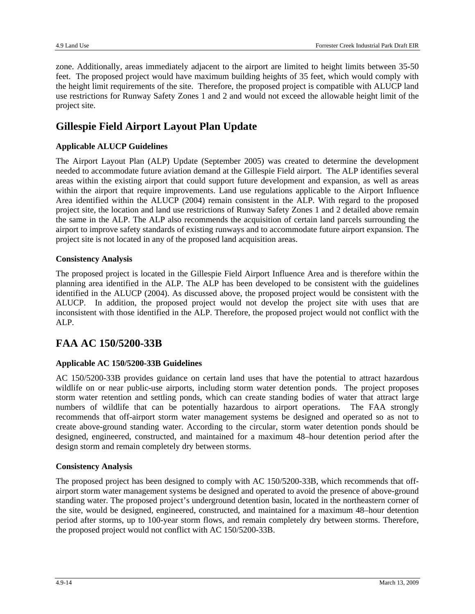zone. Additionally, areas immediately adjacent to the airport are limited to height limits between 35-50 feet. The proposed project would have maximum building heights of 35 feet, which would comply with the height limit requirements of the site. Therefore, the proposed project is compatible with ALUCP land use restrictions for Runway Safety Zones 1 and 2 and would not exceed the allowable height limit of the project site.

### **Gillespie Field Airport Layout Plan Update**

#### **Applicable ALUCP Guidelines**

The Airport Layout Plan (ALP) Update (September 2005) was created to determine the development needed to accommodate future aviation demand at the Gillespie Field airport. The ALP identifies several areas within the existing airport that could support future development and expansion, as well as areas within the airport that require improvements. Land use regulations applicable to the Airport Influence Area identified within the ALUCP (2004) remain consistent in the ALP. With regard to the proposed project site, the location and land use restrictions of Runway Safety Zones 1 and 2 detailed above remain the same in the ALP. The ALP also recommends the acquisition of certain land parcels surrounding the airport to improve safety standards of existing runways and to accommodate future airport expansion. The project site is not located in any of the proposed land acquisition areas.

#### **Consistency Analysis**

The proposed project is located in the Gillespie Field Airport Influence Area and is therefore within the planning area identified in the ALP. The ALP has been developed to be consistent with the guidelines identified in the ALUCP (2004). As discussed above, the proposed project would be consistent with the ALUCP. In addition, the proposed project would not develop the project site with uses that are inconsistent with those identified in the ALP. Therefore, the proposed project would not conflict with the ALP.

### **FAA AC 150/5200-33B**

#### **Applicable AC 150/5200-33B Guidelines**

AC 150/5200-33B provides guidance on certain land uses that have the potential to attract hazardous wildlife on or near public-use airports, including storm water detention ponds. The project proposes storm water retention and settling ponds, which can create standing bodies of water that attract large numbers of wildlife that can be potentially hazardous to airport operations. The FAA strongly recommends that off-airport storm water management systems be designed and operated so as not to create above-ground standing water. According to the circular, storm water detention ponds should be designed, engineered, constructed, and maintained for a maximum 48–hour detention period after the design storm and remain completely dry between storms.

#### **Consistency Analysis**

The proposed project has been designed to comply with AC 150/5200-33B, which recommends that offairport storm water management systems be designed and operated to avoid the presence of above-ground standing water. The proposed project's underground detention basin, located in the northeastern corner of the site, would be designed, engineered, constructed, and maintained for a maximum 48–hour detention period after storms, up to 100-year storm flows, and remain completely dry between storms. Therefore, the proposed project would not conflict with AC 150/5200-33B.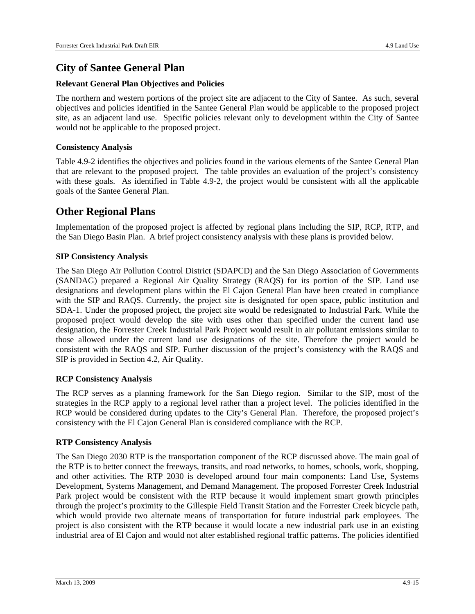### **City of Santee General Plan**

#### **Relevant General Plan Objectives and Policies**

The northern and western portions of the project site are adjacent to the City of Santee. As such, several objectives and policies identified in the Santee General Plan would be applicable to the proposed project site, as an adjacent land use. Specific policies relevant only to development within the City of Santee would not be applicable to the proposed project.

#### **Consistency Analysis**

Table 4.9-2 identifies the objectives and policies found in the various elements of the Santee General Plan that are relevant to the proposed project. The table provides an evaluation of the project's consistency with these goals. As identified in Table 4.9-2, the project would be consistent with all the applicable goals of the Santee General Plan.

### **Other Regional Plans**

Implementation of the proposed project is affected by regional plans including the SIP, RCP, RTP, and the San Diego Basin Plan. A brief project consistency analysis with these plans is provided below.

#### **SIP Consistency Analysis**

The San Diego Air Pollution Control District (SDAPCD) and the San Diego Association of Governments (SANDAG) prepared a Regional Air Quality Strategy (RAQS) for its portion of the SIP. Land use designations and development plans within the El Cajon General Plan have been created in compliance with the SIP and RAOS. Currently, the project site is designated for open space, public institution and SDA-1. Under the proposed project, the project site would be redesignated to Industrial Park. While the proposed project would develop the site with uses other than specified under the current land use designation, the Forrester Creek Industrial Park Project would result in air pollutant emissions similar to those allowed under the current land use designations of the site. Therefore the project would be consistent with the RAQS and SIP. Further discussion of the project's consistency with the RAQS and SIP is provided in Section 4.2, Air Quality.

#### **RCP Consistency Analysis**

The RCP serves as a planning framework for the San Diego region. Similar to the SIP, most of the strategies in the RCP apply to a regional level rather than a project level. The policies identified in the RCP would be considered during updates to the City's General Plan. Therefore, the proposed project's consistency with the El Cajon General Plan is considered compliance with the RCP.

#### **RTP Consistency Analysis**

The San Diego 2030 RTP is the transportation component of the RCP discussed above. The main goal of the RTP is to better connect the freeways, transits, and road networks, to homes, schools, work, shopping, and other activities. The RTP 2030 is developed around four main components: Land Use, Systems Development, Systems Management, and Demand Management. The proposed Forrester Creek Industrial Park project would be consistent with the RTP because it would implement smart growth principles through the project's proximity to the Gillespie Field Transit Station and the Forrester Creek bicycle path, which would provide two alternate means of transportation for future industrial park employees. The project is also consistent with the RTP because it would locate a new industrial park use in an existing industrial area of El Cajon and would not alter established regional traffic patterns. The policies identified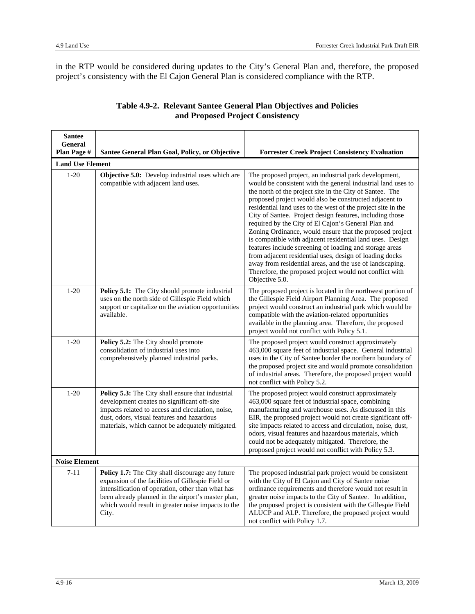in the RTP would be considered during updates to the City's General Plan and, therefore, the proposed project's consistency with the El Cajon General Plan is considered compliance with the RTP.

| <b>Santee</b>           |                                                                                                                                                                                                                                                                                 |                                                                                                                                                                                                                                                                                                                                                                                                                                                                                                                                                                                                                                                                                                                                                                                                                        |
|-------------------------|---------------------------------------------------------------------------------------------------------------------------------------------------------------------------------------------------------------------------------------------------------------------------------|------------------------------------------------------------------------------------------------------------------------------------------------------------------------------------------------------------------------------------------------------------------------------------------------------------------------------------------------------------------------------------------------------------------------------------------------------------------------------------------------------------------------------------------------------------------------------------------------------------------------------------------------------------------------------------------------------------------------------------------------------------------------------------------------------------------------|
| General<br>Plan Page #  | Santee General Plan Goal, Policy, or Objective                                                                                                                                                                                                                                  | <b>Forrester Creek Project Consistency Evaluation</b>                                                                                                                                                                                                                                                                                                                                                                                                                                                                                                                                                                                                                                                                                                                                                                  |
| <b>Land Use Element</b> |                                                                                                                                                                                                                                                                                 |                                                                                                                                                                                                                                                                                                                                                                                                                                                                                                                                                                                                                                                                                                                                                                                                                        |
| $1 - 20$                | Objective 5.0: Develop industrial uses which are<br>compatible with adjacent land uses.                                                                                                                                                                                         | The proposed project, an industrial park development,<br>would be consistent with the general industrial land uses to<br>the north of the project site in the City of Santee. The<br>proposed project would also be constructed adjacent to<br>residential land uses to the west of the project site in the<br>City of Santee. Project design features, including those<br>required by the City of El Cajon's General Plan and<br>Zoning Ordinance, would ensure that the proposed project<br>is compatible with adjacent residential land uses. Design<br>features include screening of loading and storage areas<br>from adjacent residential uses, design of loading docks<br>away from residential areas, and the use of landscaping.<br>Therefore, the proposed project would not conflict with<br>Objective 5.0. |
| $1 - 20$                | Policy 5.1: The City should promote industrial<br>uses on the north side of Gillespie Field which<br>support or capitalize on the aviation opportunities<br>available.                                                                                                          | The proposed project is located in the northwest portion of<br>the Gillespie Field Airport Planning Area. The proposed<br>project would construct an industrial park which would be<br>compatible with the aviation-related opportunities<br>available in the planning area. Therefore, the proposed<br>project would not conflict with Policy 5.1.                                                                                                                                                                                                                                                                                                                                                                                                                                                                    |
| $1-20$                  | Policy 5.2: The City should promote<br>consolidation of industrial uses into<br>comprehensively planned industrial parks.                                                                                                                                                       | The proposed project would construct approximately<br>463,000 square feet of industrial space. General industrial<br>uses in the City of Santee border the northern boundary of<br>the proposed project site and would promote consolidation<br>of industrial areas. Therefore, the proposed project would<br>not conflict with Policy 5.2.                                                                                                                                                                                                                                                                                                                                                                                                                                                                            |
| $1 - 20$                | Policy 5.3: The City shall ensure that industrial<br>development creates no significant off-site<br>impacts related to access and circulation, noise,<br>dust, odors, visual features and hazardous<br>materials, which cannot be adequately mitigated.                         | The proposed project would construct approximately<br>463,000 square feet of industrial space, combining<br>manufacturing and warehouse uses. As discussed in this<br>EIR, the proposed project would not create significant off-<br>site impacts related to access and circulation, noise, dust,<br>odors, visual features and hazardous materials, which<br>could not be adequately mitigated. Therefore, the<br>proposed project would not conflict with Policy 5.3.                                                                                                                                                                                                                                                                                                                                                |
| <b>Noise Element</b>    |                                                                                                                                                                                                                                                                                 |                                                                                                                                                                                                                                                                                                                                                                                                                                                                                                                                                                                                                                                                                                                                                                                                                        |
| $7 - 11$                | Policy 1.7: The City shall discourage any future<br>expansion of the facilities of Gillespie Field or<br>intensification of operation, other than what has<br>been already planned in the airport's master plan,<br>which would result in greater noise impacts to the<br>City. | The proposed industrial park project would be consistent<br>with the City of El Cajon and City of Santee noise<br>ordinance requirements and therefore would not result in<br>greater noise impacts to the City of Santee. In addition,<br>the proposed project is consistent with the Gillespie Field<br>ALUCP and ALP. Therefore, the proposed project would<br>not conflict with Policy 1.7.                                                                                                                                                                                                                                                                                                                                                                                                                        |

#### **Table 4.9-2. Relevant Santee General Plan Objectives and Policies and Proposed Project Consistency**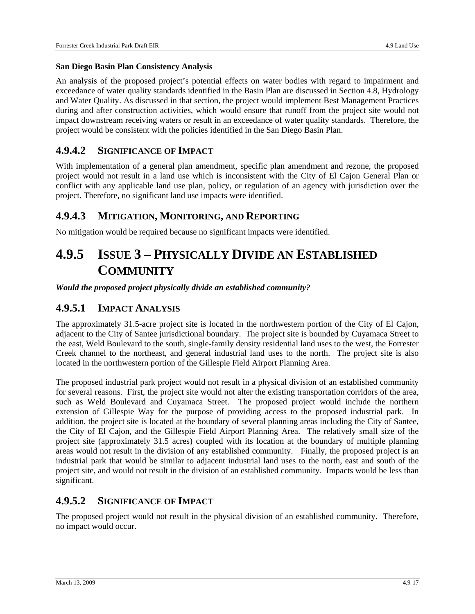#### **San Diego Basin Plan Consistency Analysis**

An analysis of the proposed project's potential effects on water bodies with regard to impairment and exceedance of water quality standards identified in the Basin Plan are discussed in Section 4.8, Hydrology and Water Quality. As discussed in that section, the project would implement Best Management Practices during and after construction activities, which would ensure that runoff from the project site would not impact downstream receiving waters or result in an exceedance of water quality standards. Therefore, the project would be consistent with the policies identified in the San Diego Basin Plan.

### **4.9.4.2 SIGNIFICANCE OF IMPACT**

With implementation of a general plan amendment, specific plan amendment and rezone, the proposed project would not result in a land use which is inconsistent with the City of El Cajon General Plan or conflict with any applicable land use plan, policy, or regulation of an agency with jurisdiction over the project. Therefore, no significant land use impacts were identified.

### **4.9.4.3 MITIGATION, MONITORING, AND REPORTING**

No mitigation would be required because no significant impacts were identified.

# **4.9.5 ISSUE 3 – PHYSICALLY DIVIDE AN ESTABLISHED COMMUNITY**

*Would the proposed project physically divide an established community?* 

### **4.9.5.1 IMPACT ANALYSIS**

The approximately 31.5-acre project site is located in the northwestern portion of the City of El Cajon, adjacent to the City of Santee jurisdictional boundary. The project site is bounded by Cuyamaca Street to the east, Weld Boulevard to the south, single-family density residential land uses to the west, the Forrester Creek channel to the northeast, and general industrial land uses to the north. The project site is also located in the northwestern portion of the Gillespie Field Airport Planning Area.

The proposed industrial park project would not result in a physical division of an established community for several reasons. First, the project site would not alter the existing transportation corridors of the area, such as Weld Boulevard and Cuyamaca Street. The proposed project would include the northern extension of Gillespie Way for the purpose of providing access to the proposed industrial park. In addition, the project site is located at the boundary of several planning areas including the City of Santee, the City of El Cajon, and the Gillespie Field Airport Planning Area. The relatively small size of the project site (approximately 31.5 acres) coupled with its location at the boundary of multiple planning areas would not result in the division of any established community. Finally, the proposed project is an industrial park that would be similar to adjacent industrial land uses to the north, east and south of the project site, and would not result in the division of an established community. Impacts would be less than significant.

### **4.9.5.2 SIGNIFICANCE OF IMPACT**

The proposed project would not result in the physical division of an established community. Therefore, no impact would occur.